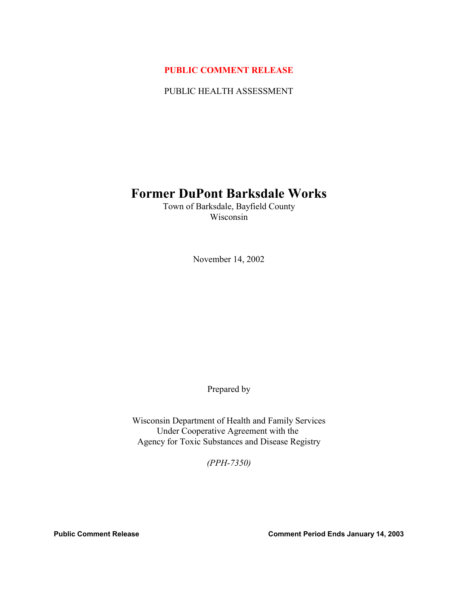# **PUBLIC COMMENT RELEASE**

PUBLIC HEALTH ASSESSMENT

# **Former DuPont Barksdale Works**

Town of Barksdale, Bayfield County Wisconsin

November 14, 2002

Prepared by

Wisconsin Department of Health and Family Services Under Cooperative Agreement with the Agency for Toxic Substances and Disease Registry

*(PPH-7350)*

Public Comment Release **Comment Period Ends January 14, 2003**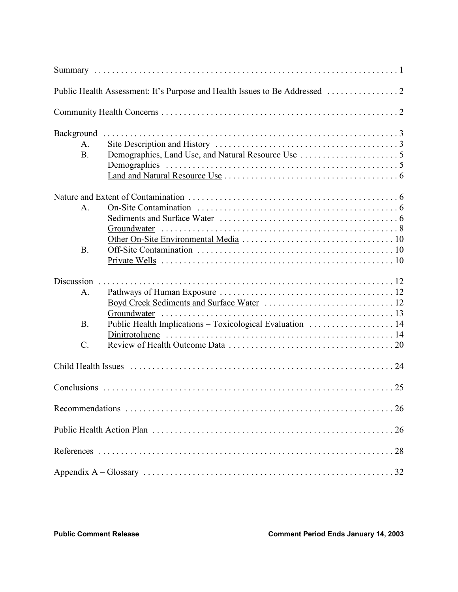| A.<br><b>B.</b> | Demographics                                              |  |
|-----------------|-----------------------------------------------------------|--|
|                 |                                                           |  |
| $\mathbf{A}$ .  |                                                           |  |
| B.              |                                                           |  |
| Discussion      |                                                           |  |
| A.              |                                                           |  |
|                 |                                                           |  |
| B.              | Public Health Implications - Toxicological Evaluation  14 |  |
| $\mathcal{C}$ . |                                                           |  |
|                 | 24                                                        |  |
|                 |                                                           |  |
|                 | 26                                                        |  |
|                 |                                                           |  |
|                 |                                                           |  |
|                 |                                                           |  |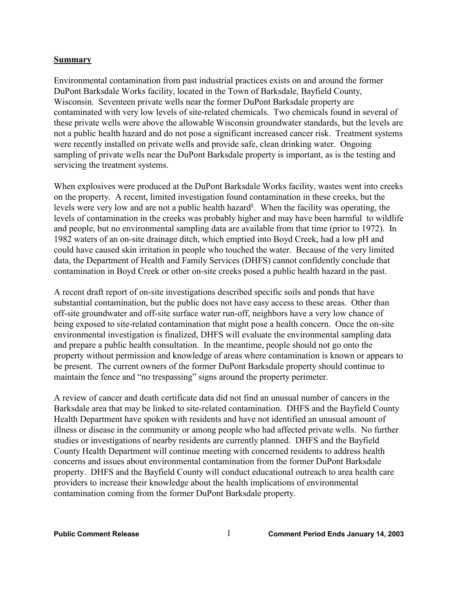#### **Summary**

Environmental contamination from past industrial practices exists on and around the former DuPont Barksdale Works facility, located in the Town of Barksdale, Bayfield County, Wisconsin. Seventeen private wells near the former DuPont Barksdale property are contaminated with very low levels of site-related chemicals. Two chemicals found in several of these private wells were above the allowable Wisconsin groundwater standards, but the levels are not a public health hazard and do not pose a significant increased cancer risk. Treatment systems were recently installed on private wells and provide safe, clean drinking water. Ongoing sampling of private wells near the DuPont Barksdale property is important, as is the testing and servicing the treatment systems.

When explosives were produced at the DuPont Barksdale Works facility, wastes went into creeks on the property. A recent, limited investigation found contamination in these creeks, but the levels were very low and are not a public health hazard<sup>§</sup>. When the facility was operating, the levels of contamination in the creeks was probably higher and may have been harmful to wildlife and people, but no environmental sampling data are available from that time (prior to 1972). In 1982 waters of an on-site drainage ditch, which emptied into Boyd Creek, had a low pH and could have caused skin irritation in people who touched the water. Because of the very limited data, the Department of Health and Family Services (DHFS) cannot confidently conclude that contamination in Boyd Creek or other on-site creeks posed a public health hazard in the past.

A recent draft report of on-site investigations described specific soils and ponds that have substantial contamination, but the public does not have easy access to these areas. Other than off-site groundwater and off-site surface water run-off, neighbors have a very low chance of being exposed to site-related contamination that might pose a health concern. Once the on-site environmental investigation is finalized, DHFS will evaluate the environmental sampling data and prepare a public health consultation. In the meantime, people should not go onto the property without permission and knowledge of areas where contamination is known or appears to be present. The current owners of the former DuPont Barksdale property should continue to maintain the fence and "no trespassing" signs around the property perimeter.

A review of cancer and death certificate data did not find an unusual number of cancers in the Barksdale area that may be linked to site-related contamination. DHFS and the Bayfield County Health Department have spoken with residents and have not identified an unusual amount of illness or disease in the community or among people who had affected private wells. No further studies or investigations of nearby residents are currently planned. DHFS and the Bayfield County Health Department will continue meeting with concerned residents to address health concerns and issues about environmental contamination from the former DuPont Barksdale property. DHFS and the Bayfield County will conduct educational outreach to area health care providers to increase their knowledge about the health implications of environmental contamination coming from the former DuPont Barksdale property.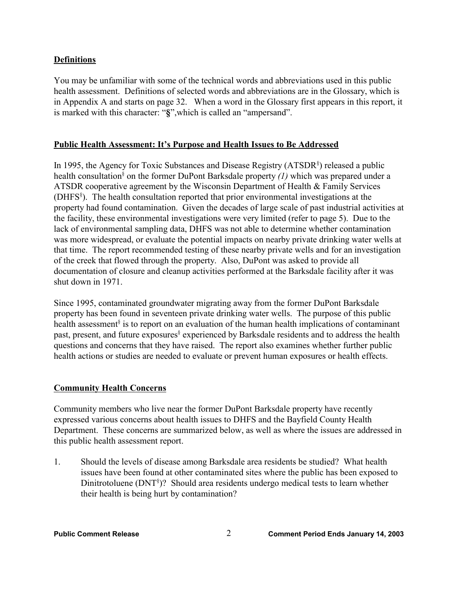# **Definitions**

You may be unfamiliar with some of the technical words and abbreviations used in this public health assessment. Definitions of selected words and abbreviations are in the Glossary, which is in Appendix A and starts on page 32. When a word in the Glossary first appears in this report, it is marked with this character: "**§**",which is called an "ampersand".

# **Public Health Assessment: It's Purpose and Health Issues to Be Addressed**

In 1995, the Agency for Toxic Substances and Disease Registry (ATSDR<sup>§</sup>) released a public health consultation<sup>§</sup> on the former DuPont Barksdale property (1) which was prepared under a ATSDR cooperative agreement by the Wisconsin Department of Health & Family Services (DHFS§ ). The health consultation reported that prior environmental investigations at the property had found contamination. Given the decades of large scale of past industrial activities at the facility, these environmental investigations were very limited (refer to page 5). Due to the lack of environmental sampling data, DHFS was not able to determine whether contamination was more widespread, or evaluate the potential impacts on nearby private drinking water wells at that time. The report recommended testing of these nearby private wells and for an investigation of the creek that flowed through the property. Also, DuPont was asked to provide all documentation of closure and cleanup activities performed at the Barksdale facility after it was shut down in 1971.

Since 1995, contaminated groundwater migrating away from the former DuPont Barksdale property has been found in seventeen private drinking water wells. The purpose of this public health assessment<sup>§</sup> is to report on an evaluation of the human health implications of contaminant past, present, and future exposures<sup>§</sup> experienced by Barksdale residents and to address the health questions and concerns that they have raised. The report also examines whether further public health actions or studies are needed to evaluate or prevent human exposures or health effects.

# **Community Health Concerns**

Community members who live near the former DuPont Barksdale property have recently expressed various concerns about health issues to DHFS and the Bayfield County Health Department. These concerns are summarized below, as well as where the issues are addressed in this public health assessment report.

1. Should the levels of disease among Barksdale area residents be studied? What health issues have been found at other contaminated sites where the public has been exposed to Dinitrotoluene (DNT<sup>§</sup>)? Should area residents undergo medical tests to learn whether their health is being hurt by contamination?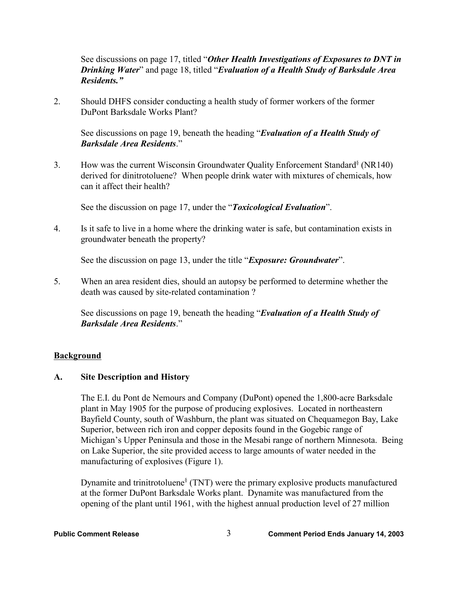See discussions on page 17, titled "*Other Health Investigations of Exposures to DNT in Drinking Water*" and page 18, titled "*Evaluation of a Health Study of Barksdale Area Residents."*

2. Should DHFS consider conducting a health study of former workers of the former DuPont Barksdale Works Plant?

See discussions on page 19, beneath the heading "*Evaluation of a Health Study of Barksdale Area Residents*."

3. How was the current Wisconsin Groundwater Quality Enforcement Standard§ (NR140) derived for dinitrotoluene? When people drink water with mixtures of chemicals, how can it affect their health?

See the discussion on page 17, under the "*Toxicological Evaluation*".

4. Is it safe to live in a home where the drinking water is safe, but contamination exists in groundwater beneath the property?

See the discussion on page 13, under the title "*Exposure: Groundwater*".

5. When an area resident dies, should an autopsy be performed to determine whether the death was caused by site-related contamination ?

See discussions on page 19, beneath the heading "*Evaluation of a Health Study of Barksdale Area Residents*."

#### **Background**

#### **A. Site Description and History**

The E.I. du Pont de Nemours and Company (DuPont) opened the 1,800-acre Barksdale plant in May 1905 for the purpose of producing explosives. Located in northeastern Bayfield County, south of Washburn, the plant was situated on Chequamegon Bay, Lake Superior, between rich iron and copper deposits found in the Gogebic range of Michigan's Upper Peninsula and those in the Mesabi range of northern Minnesota. Being on Lake Superior, the site provided access to large amounts of water needed in the manufacturing of explosives (Figure 1).

Dynamite and trinitrotoluene<sup>§</sup> (TNT) were the primary explosive products manufactured at the former DuPont Barksdale Works plant. Dynamite was manufactured from the opening of the plant until 1961, with the highest annual production level of 27 million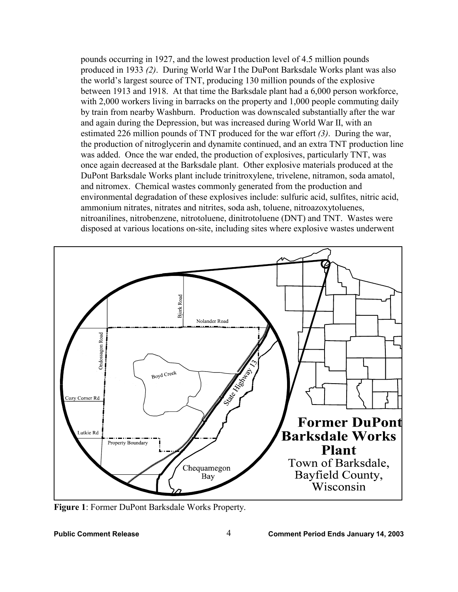pounds occurring in 1927, and the lowest production level of 4.5 million pounds produced in 1933 *(2)*. During World War I the DuPont Barksdale Works plant was also the world's largest source of TNT, producing 130 million pounds of the explosive between 1913 and 1918. At that time the Barksdale plant had a 6,000 person workforce, with 2,000 workers living in barracks on the property and 1,000 people commuting daily by train from nearby Washburn. Production was downscaled substantially after the war and again during the Depression, but was increased during World War II, with an estimated 226 million pounds of TNT produced for the war effort *(3)*. During the war, the production of nitroglycerin and dynamite continued, and an extra TNT production line was added. Once the war ended, the production of explosives, particularly TNT, was once again decreased at the Barksdale plant. Other explosive materials produced at the DuPont Barksdale Works plant include trinitroxylene, trivelene, nitramon, soda amatol, and nitromex. Chemical wastes commonly generated from the production and environmental degradation of these explosives include: sulfuric acid, sulfites, nitric acid, ammonium nitrates, nitrates and nitrites, soda ash, toluene, nitroazoxytoluenes, nitroanilines, nitrobenzene, nitrotoluene, dinitrotoluene (DNT) and TNT. Wastes were disposed at various locations on-site, including sites where explosive wastes underwent



**Figure 1**: Former DuPont Barksdale Works Property.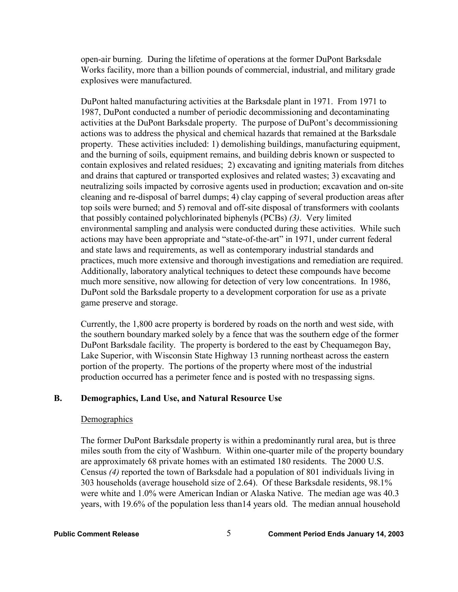open-air burning. During the lifetime of operations at the former DuPont Barksdale Works facility, more than a billion pounds of commercial, industrial, and military grade explosives were manufactured.

DuPont halted manufacturing activities at the Barksdale plant in 1971. From 1971 to 1987, DuPont conducted a number of periodic decommissioning and decontaminating activities at the DuPont Barksdale property. The purpose of DuPont's decommissioning actions was to address the physical and chemical hazards that remained at the Barksdale property. These activities included: 1) demolishing buildings, manufacturing equipment, and the burning of soils, equipment remains, and building debris known or suspected to contain explosives and related residues; 2) excavating and igniting materials from ditches and drains that captured or transported explosives and related wastes; 3) excavating and neutralizing soils impacted by corrosive agents used in production; excavation and on-site cleaning and re-disposal of barrel dumps; 4) clay capping of several production areas after top soils were burned; and 5) removal and off-site disposal of transformers with coolants that possibly contained polychlorinated biphenyls (PCBs) *(3)*. Very limited environmental sampling and analysis were conducted during these activities. While such actions may have been appropriate and "state-of-the-art" in 1971, under current federal and state laws and requirements, as well as contemporary industrial standards and practices, much more extensive and thorough investigations and remediation are required. Additionally, laboratory analytical techniques to detect these compounds have become much more sensitive, now allowing for detection of very low concentrations. In 1986, DuPont sold the Barksdale property to a development corporation for use as a private game preserve and storage.

Currently, the 1,800 acre property is bordered by roads on the north and west side, with the southern boundary marked solely by a fence that was the southern edge of the former DuPont Barksdale facility. The property is bordered to the east by Chequamegon Bay, Lake Superior, with Wisconsin State Highway 13 running northeast across the eastern portion of the property. The portions of the property where most of the industrial production occurred has a perimeter fence and is posted with no trespassing signs.

### **B. Demographics, Land Use, and Natural Resource Use**

#### **Demographics**

The former DuPont Barksdale property is within a predominantly rural area, but is three miles south from the city of Washburn. Within one-quarter mile of the property boundary are approximately 68 private homes with an estimated 180 residents. The 2000 U.S. Census *(4)* reported the town of Barksdale had a population of 801 individuals living in 303 households (average household size of 2.64). Of these Barksdale residents, 98.1% were white and 1.0% were American Indian or Alaska Native. The median age was 40.3 years, with 19.6% of the population less than14 years old. The median annual household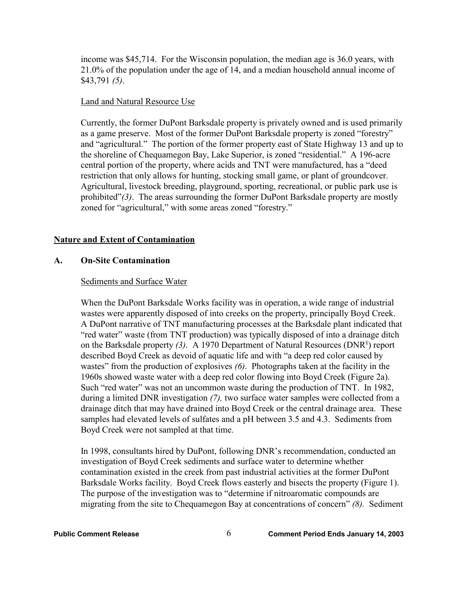income was \$45,714. For the Wisconsin population, the median age is 36.0 years, with 21.0% of the population under the age of 14, and a median household annual income of \$43,791 *(5)*.

#### Land and Natural Resource Use

Currently, the former DuPont Barksdale property is privately owned and is used primarily as a game preserve. Most of the former DuPont Barksdale property is zoned "forestry" and "agricultural." The portion of the former property east of State Highway 13 and up to the shoreline of Chequamegon Bay, Lake Superior, is zoned "residential." A 196-acre central portion of the property, where acids and TNT were manufactured, has a "deed restriction that only allows for hunting, stocking small game, or plant of groundcover. Agricultural, livestock breeding, playground, sporting, recreational, or public park use is prohibited"*(3)*. The areas surrounding the former DuPont Barksdale property are mostly zoned for "agricultural," with some areas zoned "forestry."

### **Nature and Extent of Contamination**

#### **A. On-Site Contamination**

#### Sediments and Surface Water

When the DuPont Barksdale Works facility was in operation, a wide range of industrial wastes were apparently disposed of into creeks on the property, principally Boyd Creek. A DuPont narrative of TNT manufacturing processes at the Barksdale plant indicated that "red water" waste (from TNT production) was typically disposed of into a drainage ditch on the Barksdale property *(3)*. A 1970 Department of Natural Resources (DNR§ ) report described Boyd Creek as devoid of aquatic life and with "a deep red color caused by wastes" from the production of explosives *(6)*. Photographs taken at the facility in the 1960s showed waste water with a deep red color flowing into Boyd Creek (Figure 2a). Such "red water" was not an uncommon waste during the production of TNT. In 1982, during a limited DNR investigation *(7),* two surface water samples were collected from a drainage ditch that may have drained into Boyd Creek or the central drainage area. These samples had elevated levels of sulfates and a pH between 3.5 and 4.3. Sediments from Boyd Creek were not sampled at that time.

In 1998, consultants hired by DuPont, following DNR's recommendation, conducted an investigation of Boyd Creek sediments and surface water to determine whether contamination existed in the creek from past industrial activities at the former DuPont Barksdale Works facility. Boyd Creek flows easterly and bisects the property (Figure 1). The purpose of the investigation was to "determine if nitroaromatic compounds are migrating from the site to Chequamegon Bay at concentrations of concern" *(8).* Sediment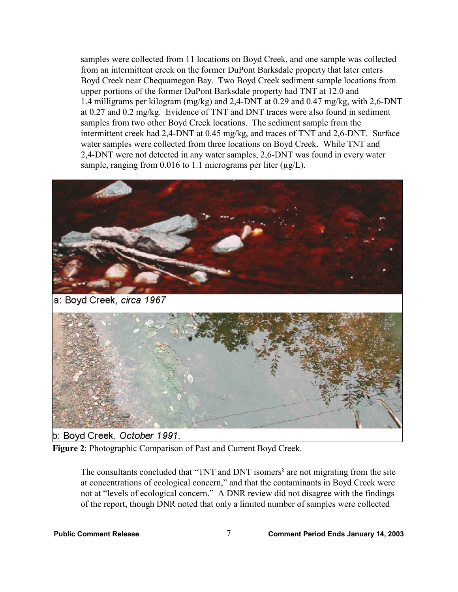samples were collected from 11 locations on Boyd Creek, and one sample was collected from an intermittent creek on the former DuPont Barksdale property that later enters Boyd Creek near Chequamegon Bay. Two Boyd Creek sediment sample locations from upper portions of the former DuPont Barksdale property had TNT at 12.0 and 1.4 milligrams per kilogram (mg/kg) and 2,4-DNT at 0.29 and 0.47 mg/kg, with 2,6-DNT at 0.27 and 0.2 mg/kg. Evidence of TNT and DNT traces were also found in sediment samples from two other Boyd Creek locations. The sediment sample from the intermittent creek had 2,4-DNT at 0.45 mg/kg, and traces of TNT and 2,6-DNT. Surface water samples were collected from three locations on Boyd Creek. While TNT and 2,4-DNT were not detected in any water samples, 2,6-DNT was found in every water sample, ranging from 0.016 to 1.1 micrograms per liter  $(\mu g/L)$ .



b: Boyd Creek, October 1991.

**Figure 2**: Photographic Comparison of Past and Current Boyd Creek.

The consultants concluded that "TNT and DNT isomers<sup>§</sup> are not migrating from the site at concentrations of ecological concern," and that the contaminants in Boyd Creek were not at "levels of ecological concern." A DNR review did not disagree with the findings of the report, though DNR noted that only a limited number of samples were collected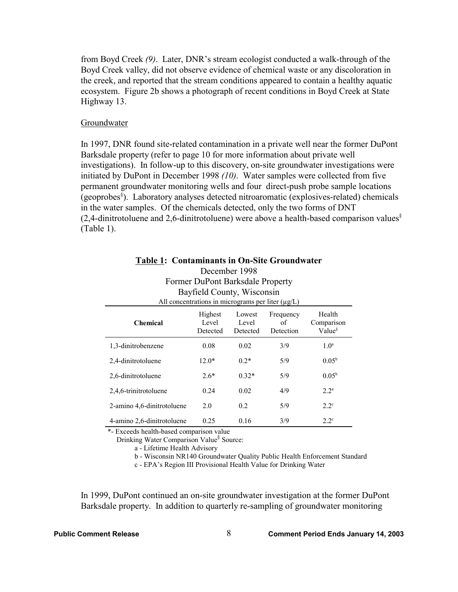from Boyd Creek *(9)*. Later, DNR's stream ecologist conducted a walk-through of the Boyd Creek valley, did not observe evidence of chemical waste or any discoloration in the creek, and reported that the stream conditions appeared to contain a healthy aquatic ecosystem. Figure 2b shows a photograph of recent conditions in Boyd Creek at State Highway 13.

#### **Groundwater**

In 1997, DNR found site-related contamination in a private well near the former DuPont Barksdale property (refer to page 10 for more information about private well investigations). In follow-up to this discovery, on-site groundwater investigations were initiated by DuPont in December 1998 *(10)*. Water samples were collected from five permanent groundwater monitoring wells and four direct-push probe sample locations (geoprobes§ ). Laboratory analyses detected nitroaromatic (explosives-related) chemicals in the water samples. Of the chemicals detected, only the two forms of DNT (2,4-dinitrotoluene and 2,6-dinitrotoluene) were above a health-based comparison values<sup>§</sup> (Table 1).

| Bayfield County, Wisconsin<br>All concentrations in micrograms per liter $(\mu g/L)$ |                              |                             |                              |                                |
|--------------------------------------------------------------------------------------|------------------------------|-----------------------------|------------------------------|--------------------------------|
| <b>Chemical</b>                                                                      | Highest<br>Level<br>Detected | Lowest<br>Level<br>Detected | Frequency<br>of<br>Detection | Health<br>Comparison<br>Value§ |
| 1,3-dinitrobenzene                                                                   | 0.08                         | 0.02                        | 3/9                          | 1.0 <sup>a</sup>               |
| 2,4-dinitrotoluene                                                                   | $12.0*$                      | $0.2*$                      | 5/9                          | $0.05^{\rm b}$                 |
| 2,6-dinitrotoluene                                                                   | $2.6*$                       | $0.32*$                     | 5/9                          | $0.05^{\rm b}$                 |
| 2,4,6-trinitrotoluene                                                                | 0.24                         | 0.02                        | 4/9                          | 2.2 <sup>a</sup>               |
| 2-amino 4,6-dinitrotoluene                                                           | 2.0                          | 0.2                         | 5/9                          | $2.2^{\circ}$                  |
| 4-amino 2,6-dinitrotoluene                                                           | 0.25                         | 0.16                        | 3/9                          | $2.2^{\circ}$                  |

#### **Table 1: Contaminants in On-Site Groundwater** December 1998

Former DuPont Barksdale Property

\*- Exceeds health-based comparison value

Drinking Water Comparison Value<sup>§</sup> Source:

a - Lifetime Health Advisory

b - Wisconsin NR140 Groundwater Quality Public Health Enforcement Standard

c - EPA's Region III Provisional Health Value for Drinking Water

In 1999, DuPont continued an on-site groundwater investigation at the former DuPont Barksdale property. In addition to quarterly re-sampling of groundwater monitoring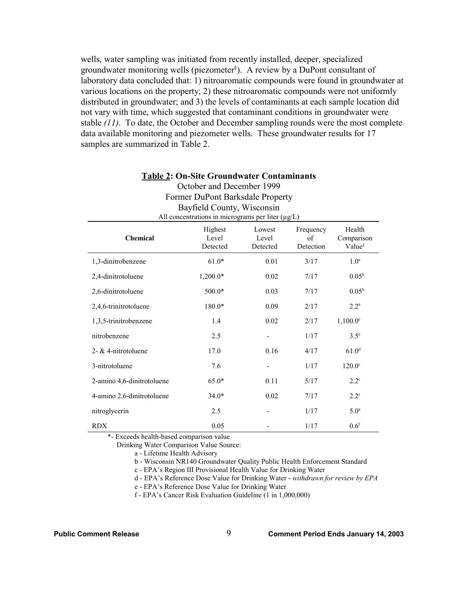wells, water sampling was initiated from recently installed, deeper, specialized groundwater monitoring wells (piezometer§ ). A review by a DuPont consultant of laboratory data concluded that: 1) nitroaromatic compounds were found in groundwater at various locations on the property; 2) these nitroaromatic compounds were not uniformly distributed in groundwater; and 3) the levels of contaminants at each sample location did not vary with time, which suggested that contaminant conditions in groundwater were stable *(11)*. To date, the October and December sampling rounds were the most complete data available monitoring and piezometer wells. These groundwater results for 17 samples are summarized in Table 2.

| October and December 1999<br>Former DuPont Barksdale Property |                                                                                 |                             |                              |                                            |  |
|---------------------------------------------------------------|---------------------------------------------------------------------------------|-----------------------------|------------------------------|--------------------------------------------|--|
|                                                               |                                                                                 |                             |                              |                                            |  |
|                                                               | Bayfield County, Wisconsin<br>All concentrations in micrograms per liter (µg/L) |                             |                              |                                            |  |
| <b>Chemical</b>                                               | Highest<br>Level<br>Detected                                                    | Lowest<br>Level<br>Detected | Frequency<br>of<br>Detection | Health<br>Comparison<br>Value <sup>§</sup> |  |
| 1,3-dinitrobenzene                                            | $61.0*$                                                                         | 0.01                        | 3/17                         | 1.0 <sup>a</sup>                           |  |
| 2,4-dinitrotoluene                                            | 1,200.0*                                                                        | 0.02                        | 7/17                         | $0.05^{\rm b}$                             |  |
| 2,6-dinitrotoluene                                            | $500.0*$                                                                        | 0.03                        | 7/17                         | $0.05^{\rm b}$                             |  |
| 2,4,6-trinitrotoluene                                         | 180.0*                                                                          | 0.09                        | 2/17                         | $2.2^{\rm a}$                              |  |
| 1,3,5-trinitrobenzene                                         | 1.4                                                                             | 0.02                        | 2/17                         | $1,100.0^e$                                |  |
| nitrobenzene                                                  | 2.5                                                                             |                             | 1/17                         | $3.5^e$                                    |  |
| 2- $&$ 4-nitrotoluene                                         | 17.0                                                                            | 0.16                        | 4/17                         | 61.0 <sup>d</sup>                          |  |
| 3-nitrotoluene                                                | 7.6                                                                             |                             | 1/17                         | $120.0^\circ$                              |  |
| 2-amino 4,6-dinitrotoluene                                    | 65.0*                                                                           | 0.11                        | 5/17                         | $2.2^{\circ}$                              |  |
| 4-amino 2,6-dinitrotoluene                                    | $34.0*$                                                                         | 0.02                        | 7/17                         | $2.2^{\circ}$                              |  |
| nitroglycerin                                                 | 2.5                                                                             |                             | 1/17                         | 5.0 <sup>a</sup>                           |  |
| <b>RDX</b>                                                    | 0.05                                                                            |                             | 1/17                         | 0.6 <sup>f</sup>                           |  |

# **Table 2: On-Site Groundwater Contaminants** October and December 1999

\*- Exceeds health-based comparison value

Drinking Water Comparison Value Source:

a - Lifetime Health Advisory

b - Wisconsin NR140 Groundwater Quality Public Health Enforcement Standard

c - EPA's Region III Provisional Health Value for Drinking Water

d - EPA's Reference Dose Value for Drinking Water - *withdrawn for review by EPA* 

e - EPA's Reference Dose Value for Drinking Water

f - EPA's Cancer Risk Evaluation Guideline (1 in 1,000,000)

#### Public Comment Release **Comment Period Ends January 14, 2003**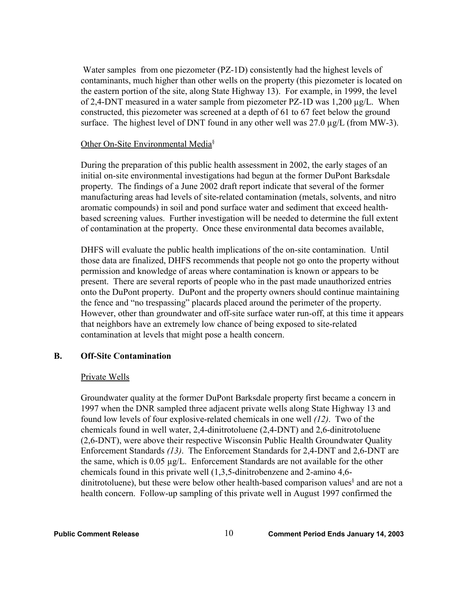Water samples from one piezometer (PZ-1D) consistently had the highest levels of contaminants, much higher than other wells on the property (this piezometer is located on the eastern portion of the site, along State Highway 13). For example, in 1999, the level of 2,4-DNT measured in a water sample from piezometer PZ-1D was 1,200 µg/L. When constructed, this piezometer was screened at a depth of 61 to 67 feet below the ground surface. The highest level of DNT found in any other well was  $27.0 \mu g/L$  (from MW-3).

#### Other On-Site Environmental Media§

During the preparation of this public health assessment in 2002, the early stages of an initial on-site environmental investigations had begun at the former DuPont Barksdale property. The findings of a June 2002 draft report indicate that several of the former manufacturing areas had levels of site-related contamination (metals, solvents, and nitro aromatic compounds) in soil and pond surface water and sediment that exceed healthbased screening values. Further investigation will be needed to determine the full extent of contamination at the property. Once these environmental data becomes available,

DHFS will evaluate the public health implications of the on-site contamination. Until those data are finalized, DHFS recommends that people not go onto the property without permission and knowledge of areas where contamination is known or appears to be present. There are several reports of people who in the past made unauthorized entries onto the DuPont property. DuPont and the property owners should continue maintaining the fence and "no trespassing" placards placed around the perimeter of the property. However, other than groundwater and off-site surface water run-off, at this time it appears that neighbors have an extremely low chance of being exposed to site-related contamination at levels that might pose a health concern.

### **B. Off-Site Contamination**

#### Private Wells

Groundwater quality at the former DuPont Barksdale property first became a concern in 1997 when the DNR sampled three adjacent private wells along State Highway 13 and found low levels of four explosive-related chemicals in one well *(12)*. Two of the chemicals found in well water, 2,4-dinitrotoluene (2,4-DNT) and 2,6-dinitrotoluene (2,6-DNT), were above their respective Wisconsin Public Health Groundwater Quality Enforcement Standards *(13)*. The Enforcement Standards for 2,4-DNT and 2,6-DNT are the same, which is 0.05 µg/L. Enforcement Standards are not available for the other chemicals found in this private well (1,3,5-dinitrobenzene and 2-amino 4,6 dinitrotoluene), but these were below other health-based comparison values§ and are not a health concern. Follow-up sampling of this private well in August 1997 confirmed the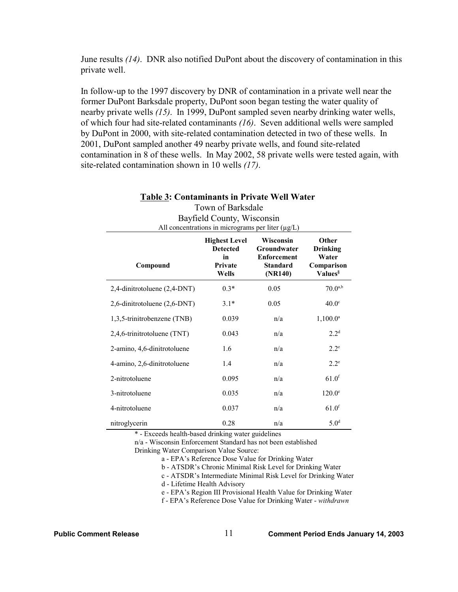June results *(14)*. DNR also notified DuPont about the discovery of contamination in this private well.

In follow-up to the 1997 discovery by DNR of contamination in a private well near the former DuPont Barksdale property, DuPont soon began testing the water quality of nearby private wells *(15)*. In 1999, DuPont sampled seven nearby drinking water wells, of which four had site-related contaminants *(16)*. Seven additional wells were sampled by DuPont in 2000, with site-related contamination detected in two of these wells. In 2001, DuPont sampled another 49 nearby private wells, and found site-related contamination in 8 of these wells. In May 2002, 58 private wells were tested again, with site-related contamination shown in 10 wells *(17)*.

| Town of Barksdale            |                                                                                      |                                                                              |                                                                               |  |
|------------------------------|--------------------------------------------------------------------------------------|------------------------------------------------------------------------------|-------------------------------------------------------------------------------|--|
|                              | Bayfield County, Wisconsin<br>All concentrations in micrograms per liter $(\mu g/L)$ |                                                                              |                                                                               |  |
| Compound                     | <b>Highest Level</b><br><b>Detected</b><br>in<br>Private<br>Wells                    | Wisconsin<br>Groundwater<br><b>Enforcement</b><br><b>Standard</b><br>(NR140) | Other<br><b>Drinking</b><br>Water<br>Comparison<br><b>Values</b> <sup>§</sup> |  |
| 2,4-dinitrotoluene (2,4-DNT) | $0.3*$                                                                               | 0.05                                                                         | $70.0^{a,b}$                                                                  |  |
| 2,6-dinitrotoluene (2,6-DNT) | $3.1*$                                                                               | 0.05                                                                         | 40.0 <sup>c</sup>                                                             |  |
| 1,3,5-trinitrobenzene (TNB)  | 0.039                                                                                | n/a                                                                          | $1,100.0^a$                                                                   |  |
| 2,4,6-trinitrotoluene (TNT)  | 0.043                                                                                | n/a                                                                          | $2.2^d$                                                                       |  |
| 2-amino, 4,6-dinitrotoluene  | 1.6                                                                                  | n/a                                                                          | $2.2^e$                                                                       |  |
| 4-amino, 2,6-dinitrotoluene  | 1.4                                                                                  | n/a                                                                          | $2.2^e$                                                                       |  |
| 2-nitrotoluene               | 0.095                                                                                | n/a                                                                          | 61.0 <sup>f</sup>                                                             |  |
| 3-nitrotoluene               | 0.035                                                                                | n/a                                                                          | $120.0^{\circ}$                                                               |  |
| 4-nitrotoluene               | 0.037                                                                                | n/a                                                                          | $61.0$ <sup>f</sup>                                                           |  |
| nitroglycerin                | 0.28                                                                                 | n/a                                                                          | 5.0 <sup>d</sup>                                                              |  |

#### **Table 3: Contaminants in Private Well Water**

\* - Exceeds health-based drinking water guidelines

n/a - Wisconsin Enforcement Standard has not been established

Drinking Water Comparison Value Source:

a - EPA's Reference Dose Value for Drinking Water

b - ATSDR's Chronic Minimal Risk Level for Drinking Water

c - ATSDR's Intermediate Minimal Risk Level for Drinking Water

d - Lifetime Health Advisory

e - EPA's Region III Provisional Health Value for Drinking Water

f - EPA's Reference Dose Value for Drinking Water - *withdrawn*

#### Public Comment Release **Comment Period Ends January 14, 2003**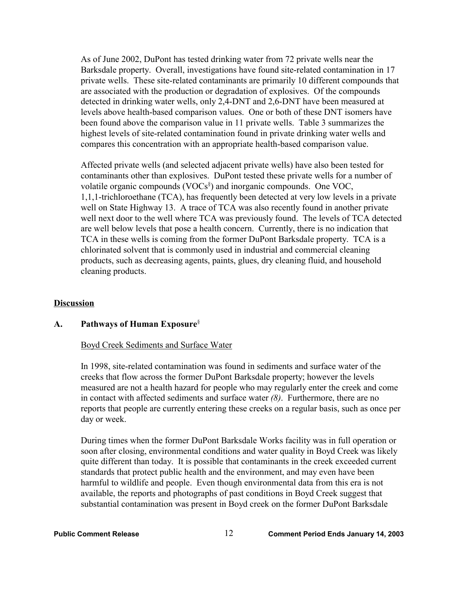As of June 2002, DuPont has tested drinking water from 72 private wells near the Barksdale property. Overall, investigations have found site-related contamination in 17 private wells. These site-related contaminants are primarily 10 different compounds that are associated with the production or degradation of explosives. Of the compounds detected in drinking water wells, only 2,4-DNT and 2,6-DNT have been measured at levels above health-based comparison values. One or both of these DNT isomers have been found above the comparison value in 11 private wells. Table 3 summarizes the highest levels of site-related contamination found in private drinking water wells and compares this concentration with an appropriate health-based comparison value.

Affected private wells (and selected adjacent private wells) have also been tested for contaminants other than explosives. DuPont tested these private wells for a number of volatile organic compounds (VOCs<sup>§</sup>) and inorganic compounds. One VOC, 1,1,1-trichloroethane (TCA), has frequently been detected at very low levels in a private well on State Highway 13. A trace of TCA was also recently found in another private well next door to the well where TCA was previously found. The levels of TCA detected are well below levels that pose a health concern. Currently, there is no indication that TCA in these wells is coming from the former DuPont Barksdale property. TCA is a chlorinated solvent that is commonly used in industrial and commercial cleaning products, such as decreasing agents, paints, glues, dry cleaning fluid, and household cleaning products.

#### **Discussion**

#### **A. Pathways of Human Exposure**§

#### Boyd Creek Sediments and Surface Water

In 1998, site-related contamination was found in sediments and surface water of the creeks that flow across the former DuPont Barksdale property; however the levels measured are not a health hazard for people who may regularly enter the creek and come in contact with affected sediments and surface water *(8)*. Furthermore, there are no reports that people are currently entering these creeks on a regular basis, such as once per day or week.

During times when the former DuPont Barksdale Works facility was in full operation or soon after closing, environmental conditions and water quality in Boyd Creek was likely quite different than today. It is possible that contaminants in the creek exceeded current standards that protect public health and the environment, and may even have been harmful to wildlife and people. Even though environmental data from this era is not available, the reports and photographs of past conditions in Boyd Creek suggest that substantial contamination was present in Boyd creek on the former DuPont Barksdale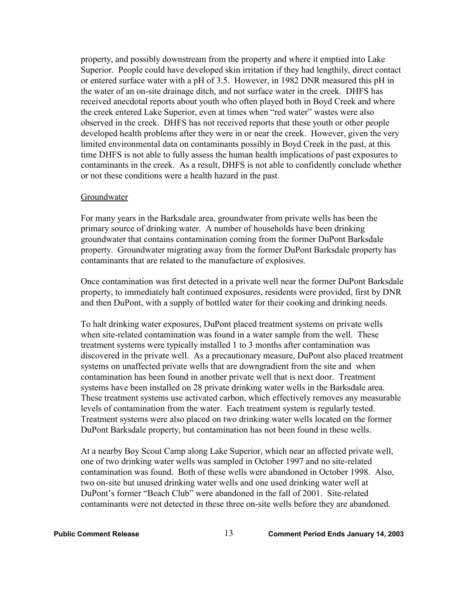property, and possibly downstream from the property and where it emptied into Lake Superior. People could have developed skin irritation if they had lengthily, direct contact or entered surface water with a pH of 3.5. However, in 1982 DNR measured this pH in the water of an on-site drainage ditch, and not surface water in the creek. DHFS has received anecdotal reports about youth who often played both in Boyd Creek and where the creek entered Lake Superior, even at times when "red water" wastes were also observed in the creek. DHFS has not received reports that these youth or other people developed health problems after they were in or near the creek. However, given the very limited environmental data on contaminants possibly in Boyd Creek in the past, at this time DHFS is not able to fully assess the human health implications of past exposures to contaminants in the creek. As a result, DHFS is not able to confidently conclude whether or not these conditions were a health hazard in the past.

#### Groundwater

For many years in the Barksdale area, groundwater from private wells has been the primary source of drinking water. A number of households have been drinking groundwater that contains contamination coming from the former DuPont Barksdale property. Groundwater migrating away from the former DuPont Barksdale property has contaminants that are related to the manufacture of explosives.

Once contamination was first detected in a private well near the former DuPont Barksdale property, to immediately halt continued exposures, residents were provided, first by DNR and then DuPont, with a supply of bottled water for their cooking and drinking needs.

To halt drinking water exposures, DuPont placed treatment systems on private wells when site-related contamination was found in a water sample from the well. These treatment systems were typically installed 1 to 3 months after contamination was discovered in the private well. As a precautionary measure, DuPont also placed treatment systems on unaffected private wells that are downgradient from the site and when contamination has been found in another private well that is next door. Treatment systems have been installed on 28 private drinking water wells in the Barksdale area. These treatment systems use activated carbon, which effectively removes any measurable levels of contamination from the water. Each treatment system is regularly tested. Treatment systems were also placed on two drinking water wells located on the former DuPont Barksdale property, but contamination has not been found in these wells.

At a nearby Boy Scout Camp along Lake Superior, which near an affected private well, one of two drinking water wells was sampled in October 1997 and no site-related contamination was found. Both of these wells were abandoned in October 1998. Also, two on-site but unused drinking water wells and one used drinking water well at DuPont's former "Beach Club" were abandoned in the fall of 2001. Site-related contaminants were not detected in these three on-site wells before they are abandoned.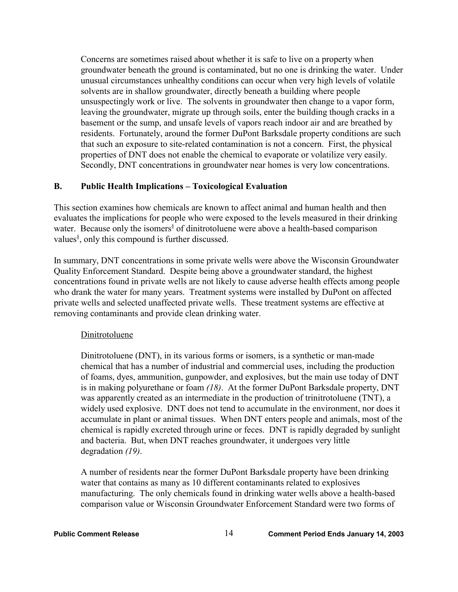Concerns are sometimes raised about whether it is safe to live on a property when groundwater beneath the ground is contaminated, but no one is drinking the water. Under unusual circumstances unhealthy conditions can occur when very high levels of volatile solvents are in shallow groundwater, directly beneath a building where people unsuspectingly work or live. The solvents in groundwater then change to a vapor form, leaving the groundwater, migrate up through soils, enter the building though cracks in a basement or the sump, and unsafe levels of vapors reach indoor air and are breathed by residents. Fortunately, around the former DuPont Barksdale property conditions are such that such an exposure to site-related contamination is not a concern. First, the physical properties of DNT does not enable the chemical to evaporate or volatilize very easily. Secondly, DNT concentrations in groundwater near homes is very low concentrations.

# **B. Public Health Implications – Toxicological Evaluation**

This section examines how chemicals are known to affect animal and human health and then evaluates the implications for people who were exposed to the levels measured in their drinking water. Because only the isomers<sup>§</sup> of dinitrotoluene were above a health-based comparison values§ , only this compound is further discussed.

In summary, DNT concentrations in some private wells were above the Wisconsin Groundwater Quality Enforcement Standard. Despite being above a groundwater standard, the highest concentrations found in private wells are not likely to cause adverse health effects among people who drank the water for many years. Treatment systems were installed by DuPont on affected private wells and selected unaffected private wells. These treatment systems are effective at removing contaminants and provide clean drinking water.

### Dinitrotoluene

Dinitrotoluene (DNT), in its various forms or isomers, is a synthetic or man-made chemical that has a number of industrial and commercial uses, including the production of foams, dyes, ammunition, gunpowder, and explosives, but the main use today of DNT is in making polyurethane or foam *(18)*. At the former DuPont Barksdale property, DNT was apparently created as an intermediate in the production of trinitrotoluene (TNT), a widely used explosive. DNT does not tend to accumulate in the environment, nor does it accumulate in plant or animal tissues. When DNT enters people and animals, most of the chemical is rapidly excreted through urine or feces. DNT is rapidly degraded by sunlight and bacteria. But, when DNT reaches groundwater, it undergoes very little degradation *(19)*.

A number of residents near the former DuPont Barksdale property have been drinking water that contains as many as 10 different contaminants related to explosives manufacturing. The only chemicals found in drinking water wells above a health-based comparison value or Wisconsin Groundwater Enforcement Standard were two forms of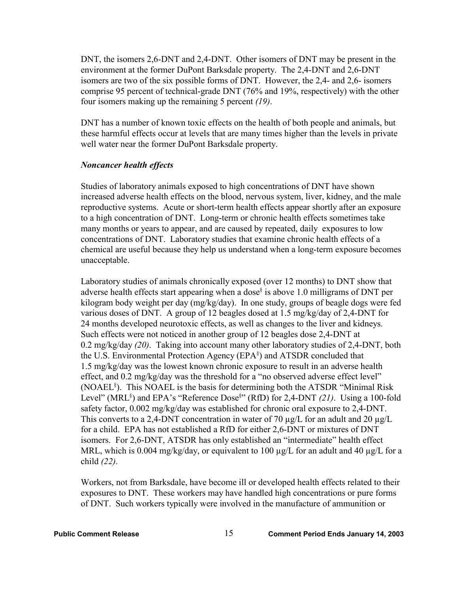DNT, the isomers 2,6-DNT and 2,4-DNT. Other isomers of DNT may be present in the environment at the former DuPont Barksdale property. The 2,4-DNT and 2,6-DNT isomers are two of the six possible forms of DNT. However, the 2,4- and 2,6- isomers comprise 95 percent of technical-grade DNT (76% and 19%, respectively) with the other four isomers making up the remaining 5 percent *(19)*.

DNT has a number of known toxic effects on the health of both people and animals, but these harmful effects occur at levels that are many times higher than the levels in private well water near the former DuPont Barksdale property.

#### *Noncancer health effects*

Studies of laboratory animals exposed to high concentrations of DNT have shown increased adverse health effects on the blood, nervous system, liver, kidney, and the male reproductive systems. Acute or short-term health effects appear shortly after an exposure to a high concentration of DNT. Long-term or chronic health effects sometimes take many months or years to appear, and are caused by repeated, daily exposures to low concentrations of DNT. Laboratory studies that examine chronic health effects of a chemical are useful because they help us understand when a long-term exposure becomes unacceptable.

Laboratory studies of animals chronically exposed (over 12 months) to DNT show that adverse health effects start appearing when a dose<sup>§</sup> is above 1.0 milligrams of DNT per kilogram body weight per day (mg/kg/day). In one study, groups of beagle dogs were fed various doses of DNT. A group of 12 beagles dosed at 1.5 mg/kg/day of 2.4-DNT for 24 months developed neurotoxic effects, as well as changes to the liver and kidneys. Such effects were not noticed in another group of 12 beagles dose 2,4-DNT at 0.2 mg/kg/day *(20)*. Taking into account many other laboratory studies of 2,4-DNT, both the U.S. Environmental Protection Agency (EPA<sup>§</sup>) and ATSDR concluded that 1.5 mg/kg/day was the lowest known chronic exposure to result in an adverse health effect, and 0.2 mg/kg/day was the threshold for a "no observed adverse effect level" (NOAEL§ ). This NOAEL is the basis for determining both the ATSDR "Minimal Risk Level" (MRL<sup>§</sup>) and EPA's "Reference Dose<sup>§</sup>" (RfD) for 2,4-DNT *(21)*. Using a 100-fold safety factor, 0.002 mg/kg/day was established for chronic oral exposure to 2,4-DNT. This converts to a 2,4-DNT concentration in water of 70  $\mu$ g/L for an adult and 20  $\mu$ g/L for a child. EPA has not established a RfD for either 2,6-DNT or mixtures of DNT isomers. For 2,6-DNT, ATSDR has only established an "intermediate" health effect MRL, which is 0.004 mg/kg/day, or equivalent to 100  $\mu$ g/L for an adult and 40  $\mu$ g/L for a child *(22)*.

Workers, not from Barksdale, have become ill or developed health effects related to their exposures to DNT. These workers may have handled high concentrations or pure forms of DNT. Such workers typically were involved in the manufacture of ammunition or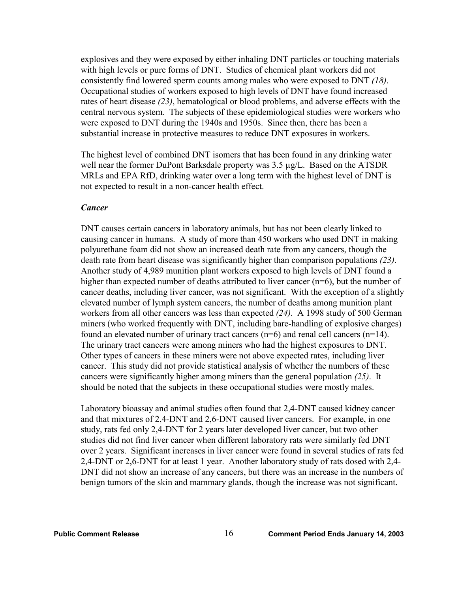explosives and they were exposed by either inhaling DNT particles or touching materials with high levels or pure forms of DNT. Studies of chemical plant workers did not consistently find lowered sperm counts among males who were exposed to DNT *(18)*. Occupational studies of workers exposed to high levels of DNT have found increased rates of heart disease *(23)*, hematological or blood problems, and adverse effects with the central nervous system. The subjects of these epidemiological studies were workers who were exposed to DNT during the 1940s and 1950s. Since then, there has been a substantial increase in protective measures to reduce DNT exposures in workers.

The highest level of combined DNT isomers that has been found in any drinking water well near the former DuPont Barksdale property was 3.5 µg/L. Based on the ATSDR MRLs and EPA RfD, drinking water over a long term with the highest level of DNT is not expected to result in a non-cancer health effect.

#### *Cancer*

DNT causes certain cancers in laboratory animals, but has not been clearly linked to causing cancer in humans. A study of more than 450 workers who used DNT in making polyurethane foam did not show an increased death rate from any cancers, though the death rate from heart disease was significantly higher than comparison populations *(23)*. Another study of 4,989 munition plant workers exposed to high levels of DNT found a higher than expected number of deaths attributed to liver cancer (n=6), but the number of cancer deaths, including liver cancer, was not significant. With the exception of a slightly elevated number of lymph system cancers, the number of deaths among munition plant workers from all other cancers was less than expected *(24)*. A 1998 study of 500 German miners (who worked frequently with DNT, including bare-handling of explosive charges) found an elevated number of urinary tract cancers (n=6) and renal cell cancers (n=14). The urinary tract cancers were among miners who had the highest exposures to DNT. Other types of cancers in these miners were not above expected rates, including liver cancer. This study did not provide statistical analysis of whether the numbers of these cancers were significantly higher among miners than the general population *(25)*. It should be noted that the subjects in these occupational studies were mostly males.

Laboratory bioassay and animal studies often found that 2,4-DNT caused kidney cancer and that mixtures of 2,4-DNT and 2,6-DNT caused liver cancers. For example, in one study, rats fed only 2,4-DNT for 2 years later developed liver cancer, but two other studies did not find liver cancer when different laboratory rats were similarly fed DNT over 2 years. Significant increases in liver cancer were found in several studies of rats fed 2,4-DNT or 2,6-DNT for at least 1 year. Another laboratory study of rats dosed with 2,4- DNT did not show an increase of any cancers, but there was an increase in the numbers of benign tumors of the skin and mammary glands, though the increase was not significant.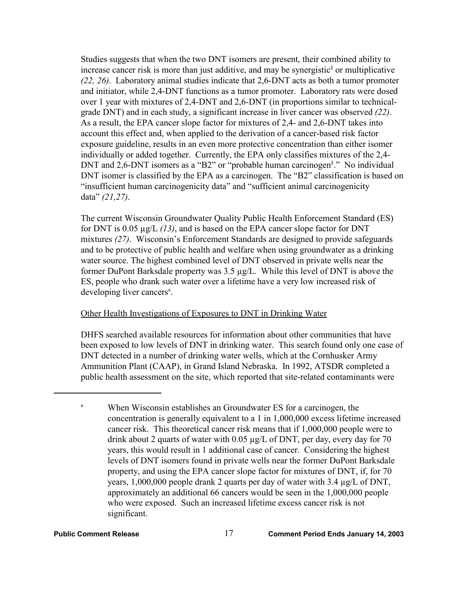Studies suggests that when the two DNT isomers are present, their combined ability to increase cancer risk is more than just additive, and may be synergistic<sup>§</sup> or multiplicative *(22, 26)*. Laboratory animal studies indicate that 2,6-DNT acts as both a tumor promoter and initiator, while 2,4-DNT functions as a tumor promoter. Laboratory rats were dosed over 1 year with mixtures of 2,4-DNT and 2,6-DNT (in proportions similar to technicalgrade DNT) and in each study, a significant increase in liver cancer was observed *(22)*. As a result, the EPA cancer slope factor for mixtures of 2,4- and 2,6-DNT takes into account this effect and, when applied to the derivation of a cancer-based risk factor exposure guideline, results in an even more protective concentration than either isomer individually or added together. Currently, the EPA only classifies mixtures of the 2,4- DNT and 2,6-DNT isomers as a "B2" or "probable human carcinogen<sup>§</sup>." No individual DNT isomer is classified by the EPA as a carcinogen. The "B2" classification is based on "insufficient human carcinogenicity data" and "sufficient animal carcinogenicity data" *(21,27)*.

The current Wisconsin Groundwater Quality Public Health Enforcement Standard (ES) for DNT is 0.05 µg/L *(13)*, and is based on the EPA cancer slope factor for DNT mixtures *(27)*. Wisconsin's Enforcement Standards are designed to provide safeguards and to be protective of public health and welfare when using groundwater as a drinking water source. The highest combined level of DNT observed in private wells near the former DuPont Barksdale property was 3.5 µg/L. While this level of DNT is above the ES, people who drank such water over a lifetime have a very low increased risk of developing liver cancers<sup>a</sup>.

### Other Health Investigations of Exposures to DNT in Drinking Water

DHFS searched available resources for information about other communities that have been exposed to low levels of DNT in drinking water. This search found only one case of DNT detected in a number of drinking water wells, which at the Cornhusker Army Ammunition Plant (CAAP), in Grand Island Nebraska. In 1992, ATSDR completed a public health assessment on the site, which reported that site-related contaminants were

<sup>&</sup>lt;sup>a</sup> When Wisconsin establishes an Groundwater ES for a carcinogen, the concentration is generally equivalent to a 1 in 1,000,000 excess lifetime increased cancer risk. This theoretical cancer risk means that if 1,000,000 people were to drink about 2 quarts of water with 0.05 µg/L of DNT, per day, every day for 70 years, this would result in 1 additional case of cancer. Considering the highest levels of DNT isomers found in private wells near the former DuPont Barksdale property, and using the EPA cancer slope factor for mixtures of DNT, if, for 70 years, 1,000,000 people drank 2 quarts per day of water with 3.4 µg/L of DNT, approximately an additional 66 cancers would be seen in the 1,000,000 people who were exposed. Such an increased lifetime excess cancer risk is not significant.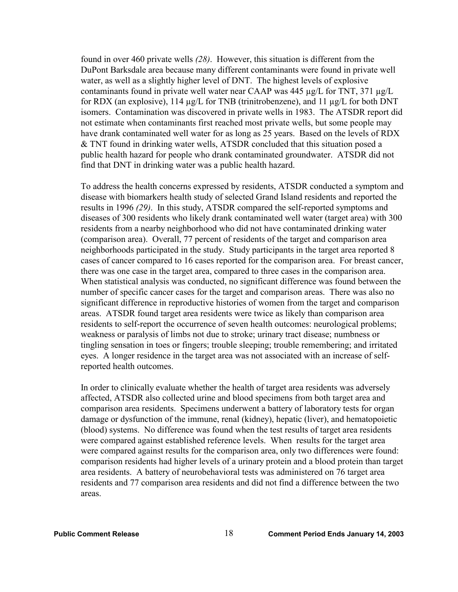found in over 460 private wells *(28)*. However, this situation is different from the DuPont Barksdale area because many different contaminants were found in private well water, as well as a slightly higher level of DNT. The highest levels of explosive contaminants found in private well water near CAAP was 445 µg/L for TNT, 371 µg/L for RDX (an explosive),  $114 \mu g/L$  for TNB (trinitrobenzene), and  $11 \mu g/L$  for both DNT isomers. Contamination was discovered in private wells in 1983. The ATSDR report did not estimate when contaminants first reached most private wells, but some people may have drank contaminated well water for as long as 25 years. Based on the levels of RDX & TNT found in drinking water wells, ATSDR concluded that this situation posed a public health hazard for people who drank contaminated groundwater. ATSDR did not find that DNT in drinking water was a public health hazard.

To address the health concerns expressed by residents, ATSDR conducted a symptom and disease with biomarkers health study of selected Grand Island residents and reported the results in 1996 *(29)*. In this study, ATSDR compared the self-reported symptoms and diseases of 300 residents who likely drank contaminated well water (target area) with 300 residents from a nearby neighborhood who did not have contaminated drinking water (comparison area). Overall, 77 percent of residents of the target and comparison area neighborhoods participated in the study. Study participants in the target area reported 8 cases of cancer compared to 16 cases reported for the comparison area. For breast cancer, there was one case in the target area, compared to three cases in the comparison area. When statistical analysis was conducted, no significant difference was found between the number of specific cancer cases for the target and comparison areas. There was also no significant difference in reproductive histories of women from the target and comparison areas. ATSDR found target area residents were twice as likely than comparison area residents to self-report the occurrence of seven health outcomes: neurological problems; weakness or paralysis of limbs not due to stroke; urinary tract disease; numbness or tingling sensation in toes or fingers; trouble sleeping; trouble remembering; and irritated eyes. A longer residence in the target area was not associated with an increase of selfreported health outcomes.

In order to clinically evaluate whether the health of target area residents was adversely affected, ATSDR also collected urine and blood specimens from both target area and comparison area residents. Specimens underwent a battery of laboratory tests for organ damage or dysfunction of the immune, renal (kidney), hepatic (liver), and hematopoietic (blood) systems. No difference was found when the test results of target area residents were compared against established reference levels. When results for the target area were compared against results for the comparison area, only two differences were found: comparison residents had higher levels of a urinary protein and a blood protein than target area residents. A battery of neurobehavioral tests was administered on 76 target area residents and 77 comparison area residents and did not find a difference between the two areas.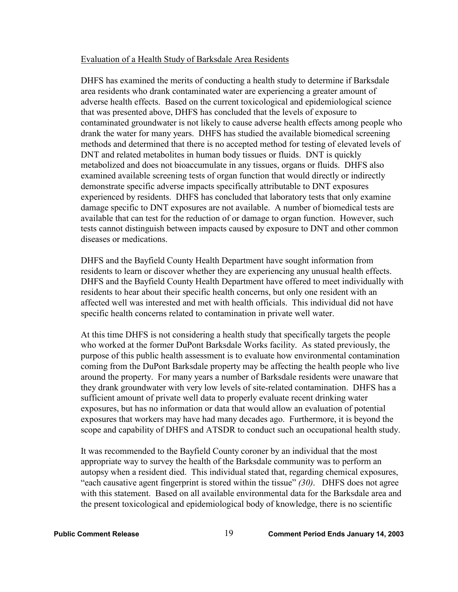#### Evaluation of a Health Study of Barksdale Area Residents

DHFS has examined the merits of conducting a health study to determine if Barksdale area residents who drank contaminated water are experiencing a greater amount of adverse health effects. Based on the current toxicological and epidemiological science that was presented above, DHFS has concluded that the levels of exposure to contaminated groundwater is not likely to cause adverse health effects among people who drank the water for many years. DHFS has studied the available biomedical screening methods and determined that there is no accepted method for testing of elevated levels of DNT and related metabolites in human body tissues or fluids. DNT is quickly metabolized and does not bioaccumulate in any tissues, organs or fluids. DHFS also examined available screening tests of organ function that would directly or indirectly demonstrate specific adverse impacts specifically attributable to DNT exposures experienced by residents. DHFS has concluded that laboratory tests that only examine damage specific to DNT exposures are not available. A number of biomedical tests are available that can test for the reduction of or damage to organ function. However, such tests cannot distinguish between impacts caused by exposure to DNT and other common diseases or medications.

DHFS and the Bayfield County Health Department have sought information from residents to learn or discover whether they are experiencing any unusual health effects. DHFS and the Bayfield County Health Department have offered to meet individually with residents to hear about their specific health concerns, but only one resident with an affected well was interested and met with health officials. This individual did not have specific health concerns related to contamination in private well water.

At this time DHFS is not considering a health study that specifically targets the people who worked at the former DuPont Barksdale Works facility. As stated previously, the purpose of this public health assessment is to evaluate how environmental contamination coming from the DuPont Barksdale property may be affecting the health people who live around the property. For many years a number of Barksdale residents were unaware that they drank groundwater with very low levels of site-related contamination. DHFS has a sufficient amount of private well data to properly evaluate recent drinking water exposures, but has no information or data that would allow an evaluation of potential exposures that workers may have had many decades ago. Furthermore, it is beyond the scope and capability of DHFS and ATSDR to conduct such an occupational health study.

It was recommended to the Bayfield County coroner by an individual that the most appropriate way to survey the health of the Barksdale community was to perform an autopsy when a resident died. This individual stated that, regarding chemical exposures, "each causative agent fingerprint is stored within the tissue" *(30)*. DHFS does not agree with this statement. Based on all available environmental data for the Barksdale area and the present toxicological and epidemiological body of knowledge, there is no scientific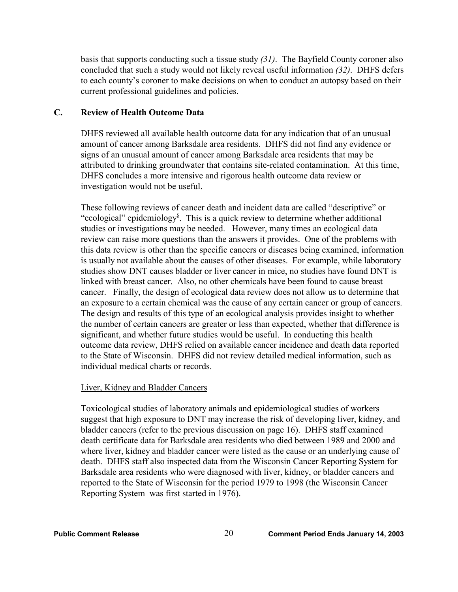basis that supports conducting such a tissue study *(31)*. The Bayfield County coroner also concluded that such a study would not likely reveal useful information *(32)*. DHFS defers to each county's coroner to make decisions on when to conduct an autopsy based on their current professional guidelines and policies.

# **C. Review of Health Outcome Data**

DHFS reviewed all available health outcome data for any indication that of an unusual amount of cancer among Barksdale area residents. DHFS did not find any evidence or signs of an unusual amount of cancer among Barksdale area residents that may be attributed to drinking groundwater that contains site-related contamination. At this time, DHFS concludes a more intensive and rigorous health outcome data review or investigation would not be useful.

These following reviews of cancer death and incident data are called "descriptive" or "ecological" epidemiology§ . This is a quick review to determine whether additional studies or investigations may be needed. However, many times an ecological data review can raise more questions than the answers it provides. One of the problems with this data review is other than the specific cancers or diseases being examined, information is usually not available about the causes of other diseases. For example, while laboratory studies show DNT causes bladder or liver cancer in mice, no studies have found DNT is linked with breast cancer. Also, no other chemicals have been found to cause breast cancer. Finally, the design of ecological data review does not allow us to determine that an exposure to a certain chemical was the cause of any certain cancer or group of cancers. The design and results of this type of an ecological analysis provides insight to whether the number of certain cancers are greater or less than expected, whether that difference is significant, and whether future studies would be useful. In conducting this health outcome data review, DHFS relied on available cancer incidence and death data reported to the State of Wisconsin. DHFS did not review detailed medical information, such as individual medical charts or records.

### Liver, Kidney and Bladder Cancers

Toxicological studies of laboratory animals and epidemiological studies of workers suggest that high exposure to DNT may increase the risk of developing liver, kidney, and bladder cancers (refer to the previous discussion on page 16). DHFS staff examined death certificate data for Barksdale area residents who died between 1989 and 2000 and where liver, kidney and bladder cancer were listed as the cause or an underlying cause of death. DHFS staff also inspected data from the Wisconsin Cancer Reporting System for Barksdale area residents who were diagnosed with liver, kidney, or bladder cancers and reported to the State of Wisconsin for the period 1979 to 1998 (the Wisconsin Cancer Reporting System was first started in 1976).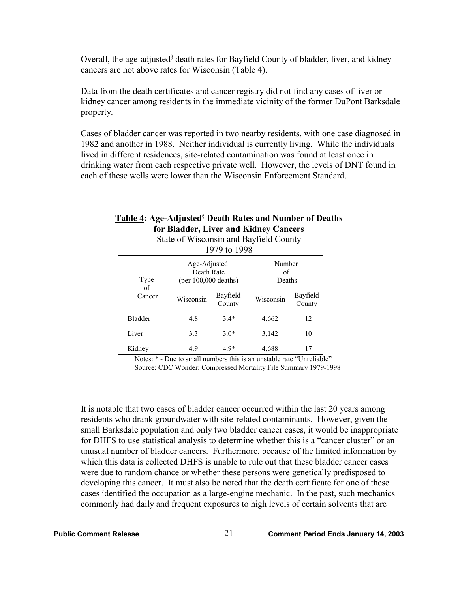Overall, the age-adjusted<sup>§</sup> death rates for Bayfield County of bladder, liver, and kidney cancers are not above rates for Wisconsin (Table 4).

Data from the death certificates and cancer registry did not find any cases of liver or kidney cancer among residents in the immediate vicinity of the former DuPont Barksdale property.

Cases of bladder cancer was reported in two nearby residents, with one case diagnosed in 1982 and another in 1988. Neither individual is currently living. While the individuals lived in different residences, site-related contamination was found at least once in drinking water from each respective private well. However, the levels of DNT found in each of these wells were lower than the Wisconsin Enforcement Standard.

# **Table 4: Age-Adjusted**§  **Death Rates and Number of Deaths for Bladder, Liver and Kidney Cancers**

State of Wisconsin and Bayfield County

| 1979 to 1998 |                                                      |                    |                        |                    |  |
|--------------|------------------------------------------------------|--------------------|------------------------|--------------------|--|
| Type<br>of   | Age-Adjusted<br>Death Rate<br>$(per 100,000$ deaths) |                    | Number<br>of<br>Deaths |                    |  |
| Cancer       | Wisconsin                                            | Bayfield<br>County | Wisconsin              | Bayfield<br>County |  |
| Bladder      | 4.8                                                  | $3.4*$             | 4,662                  | 12                 |  |
| Liver        | 3.3                                                  | $3.0*$             | 3,142                  | 10                 |  |
| Kidney       | 4.9                                                  | 49*                | 4,688                  | 17                 |  |

Notes: \* - Due to small numbers this is an unstable rate "Unreliable" Source: CDC Wonder: Compressed Mortality File Summary 1979-1998

It is notable that two cases of bladder cancer occurred within the last 20 years among residents who drank groundwater with site-related contaminants. However, given the small Barksdale population and only two bladder cancer cases, it would be inappropriate for DHFS to use statistical analysis to determine whether this is a "cancer cluster" or an unusual number of bladder cancers. Furthermore, because of the limited information by which this data is collected DHFS is unable to rule out that these bladder cancer cases were due to random chance or whether these persons were genetically predisposed to developing this cancer. It must also be noted that the death certificate for one of these cases identified the occupation as a large-engine mechanic. In the past, such mechanics commonly had daily and frequent exposures to high levels of certain solvents that are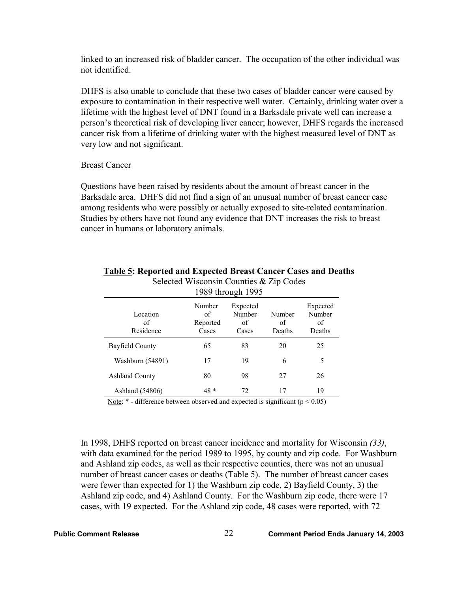linked to an increased risk of bladder cancer. The occupation of the other individual was not identified.

DHFS is also unable to conclude that these two cases of bladder cancer were caused by exposure to contamination in their respective well water. Certainly, drinking water over a lifetime with the highest level of DNT found in a Barksdale private well can increase a person's theoretical risk of developing liver cancer; however, DHFS regards the increased cancer risk from a lifetime of drinking water with the highest measured level of DNT as very low and not significant.

#### Breast Cancer

Questions have been raised by residents about the amount of breast cancer in the Barksdale area. DHFS did not find a sign of an unusual number of breast cancer case among residents who were possibly or actually exposed to site-related contamination. Studies by others have not found any evidence that DNT increases the risk to breast cancer in humans or laboratory animals.

| 1989 through 1995           |                                   |                                   |                        |                                    |
|-----------------------------|-----------------------------------|-----------------------------------|------------------------|------------------------------------|
| Location<br>οf<br>Residence | Number<br>οf<br>Reported<br>Cases | Expected<br>Number<br>of<br>Cases | Number<br>of<br>Deaths | Expected<br>Number<br>of<br>Deaths |
| Bayfield County             | 65                                | 83                                | 20                     | 25                                 |
| Washburn (54891)            | 17                                | 19                                | 6                      | 5                                  |
| <b>Ashland County</b>       | 80                                | 98                                | 27                     | 26                                 |
| Ashland (54806)             | 48 *                              | 72                                | 17                     | 19                                 |

#### **Table 5: Reported and Expected Breast Cancer Cases and Deaths** Selected Wisconsin Counties & Zip Codes

Note:  $*$  - difference between observed and expected is significant ( $p < 0.05$ )

In 1998, DHFS reported on breast cancer incidence and mortality for Wisconsin *(33)*, with data examined for the period 1989 to 1995, by county and zip code. For Washburn and Ashland zip codes, as well as their respective counties, there was not an unusual number of breast cancer cases or deaths (Table 5). The number of breast cancer cases were fewer than expected for 1) the Washburn zip code, 2) Bayfield County, 3) the Ashland zip code, and 4) Ashland County. For the Washburn zip code, there were 17 cases, with 19 expected. For the Ashland zip code, 48 cases were reported, with 72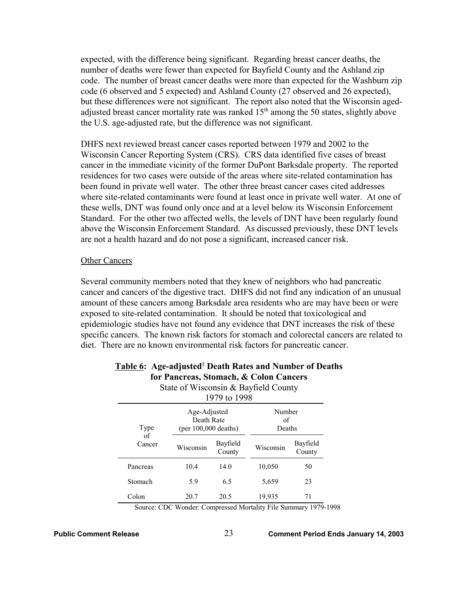expected, with the difference being significant. Regarding breast cancer deaths, the number of deaths were fewer than expected for Bayfield County and the Ashland zip code. The number of breast cancer deaths were more than expected for the Washburn zip code (6 observed and 5 expected) and Ashland County (27 observed and 26 expected), but these differences were not significant. The report also noted that the Wisconsin agedadjusted breast cancer mortality rate was ranked  $15<sup>th</sup>$  among the 50 states, slightly above the U.S. age-adjusted rate, but the difference was not significant.

DHFS next reviewed breast cancer cases reported between 1979 and 2002 to the Wisconsin Cancer Reporting System (CRS). CRS data identified five cases of breast cancer in the immediate vicinity of the former DuPont Barksdale property. The reported residences for two cases were outside of the areas where site-related contamination has been found in private well water. The other three breast cancer cases cited addresses where site-related contaminants were found at least once in private well water. At one of these wells, DNT was found only once and at a level below its Wisconsin Enforcement Standard. For the other two affected wells, the levels of DNT have been regularly found above the Wisconsin Enforcement Standard. As discussed previously, these DNT levels are not a health hazard and do not pose a significant, increased cancer risk.

#### Other Cancers

Several community members noted that they knew of neighbors who had pancreatic cancer and cancers of the digestive tract. DHFS did not find any indication of an unusual amount of these cancers among Barksdale area residents who are may have been or were exposed to site-related contamination. It should be noted that toxicological and epidemiologic studies have not found any evidence that DNT increases the risk of these specific cancers. The known risk factors for stomach and colorectal cancers are related to diet. There are no known environmental risk factors for pancreatic cancer.

| State of Wisconsin & Bayfield County<br>1979 to 1998 |                                                      |                    |                        |                    |  |
|------------------------------------------------------|------------------------------------------------------|--------------------|------------------------|--------------------|--|
| Type                                                 | Age-Adjusted<br>Death Rate<br>$(per 100,000$ deaths) |                    | Number<br>of<br>Deaths |                    |  |
| of<br>Cancer                                         | Wisconsin                                            | Bayfield<br>County | Wisconsin              | Bayfield<br>County |  |
| Pancreas                                             | 10.4                                                 | 14.0               | 10,050                 | 50                 |  |
| Stomach                                              | 5.9                                                  | 6.5                | 5,659                  | 23                 |  |
| Colon                                                | 20.7                                                 | 20.5               | 19.935                 | 71                 |  |

# **Table 6: Age-adjusted**§  **Death Rates and Number of Deaths for Pancreas, Stomach, & Colon Cancers**

Source: CDC Wonder: Compressed Mortality File Summary 1979-1998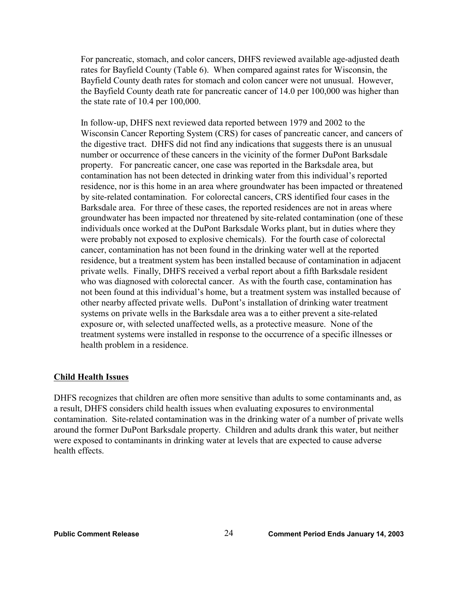For pancreatic, stomach, and color cancers, DHFS reviewed available age-adjusted death rates for Bayfield County (Table 6). When compared against rates for Wisconsin, the Bayfield County death rates for stomach and colon cancer were not unusual. However, the Bayfield County death rate for pancreatic cancer of 14.0 per 100,000 was higher than the state rate of 10.4 per 100,000.

In follow-up, DHFS next reviewed data reported between 1979 and 2002 to the Wisconsin Cancer Reporting System (CRS) for cases of pancreatic cancer, and cancers of the digestive tract. DHFS did not find any indications that suggests there is an unusual number or occurrence of these cancers in the vicinity of the former DuPont Barksdale property. For pancreatic cancer, one case was reported in the Barksdale area, but contamination has not been detected in drinking water from this individual's reported residence, nor is this home in an area where groundwater has been impacted or threatened by site-related contamination. For colorectal cancers, CRS identified four cases in the Barksdale area. For three of these cases, the reported residences are not in areas where groundwater has been impacted nor threatened by site-related contamination (one of these individuals once worked at the DuPont Barksdale Works plant, but in duties where they were probably not exposed to explosive chemicals). For the fourth case of colorectal cancer, contamination has not been found in the drinking water well at the reported residence, but a treatment system has been installed because of contamination in adjacent private wells. Finally, DHFS received a verbal report about a fifth Barksdale resident who was diagnosed with colorectal cancer. As with the fourth case, contamination has not been found at this individual's home, but a treatment system was installed because of other nearby affected private wells. DuPont's installation of drinking water treatment systems on private wells in the Barksdale area was a to either prevent a site-related exposure or, with selected unaffected wells, as a protective measure. None of the treatment systems were installed in response to the occurrence of a specific illnesses or health problem in a residence.

### **Child Health Issues**

DHFS recognizes that children are often more sensitive than adults to some contaminants and, as a result, DHFS considers child health issues when evaluating exposures to environmental contamination. Site-related contamination was in the drinking water of a number of private wells around the former DuPont Barksdale property. Children and adults drank this water, but neither were exposed to contaminants in drinking water at levels that are expected to cause adverse health effects.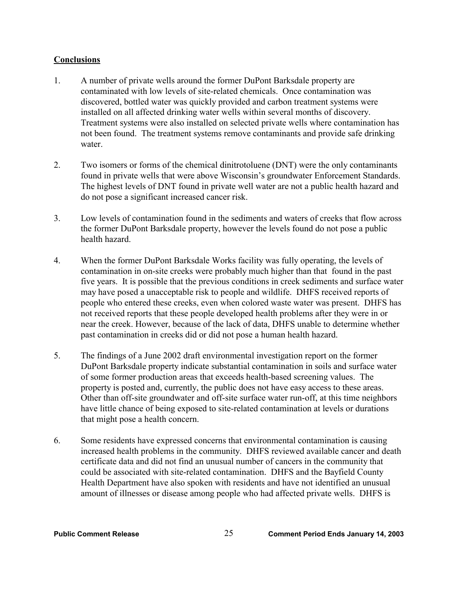# **Conclusions**

- 1. A number of private wells around the former DuPont Barksdale property are contaminated with low levels of site-related chemicals. Once contamination was discovered, bottled water was quickly provided and carbon treatment systems were installed on all affected drinking water wells within several months of discovery. Treatment systems were also installed on selected private wells where contamination has not been found. The treatment systems remove contaminants and provide safe drinking water.
- 2. Two isomers or forms of the chemical dinitrotoluene (DNT) were the only contaminants found in private wells that were above Wisconsin's groundwater Enforcement Standards. The highest levels of DNT found in private well water are not a public health hazard and do not pose a significant increased cancer risk.
- 3. Low levels of contamination found in the sediments and waters of creeks that flow across the former DuPont Barksdale property, however the levels found do not pose a public health hazard.
- 4. When the former DuPont Barksdale Works facility was fully operating, the levels of contamination in on-site creeks were probably much higher than that found in the past five years. It is possible that the previous conditions in creek sediments and surface water may have posed a unacceptable risk to people and wildlife. DHFS received reports of people who entered these creeks, even when colored waste water was present. DHFS has not received reports that these people developed health problems after they were in or near the creek. However, because of the lack of data, DHFS unable to determine whether past contamination in creeks did or did not pose a human health hazard.
- 5. The findings of a June 2002 draft environmental investigation report on the former DuPont Barksdale property indicate substantial contamination in soils and surface water of some former production areas that exceeds health-based screening values. The property is posted and, currently, the public does not have easy access to these areas. Other than off-site groundwater and off-site surface water run-off, at this time neighbors have little chance of being exposed to site-related contamination at levels or durations that might pose a health concern.
- 6. Some residents have expressed concerns that environmental contamination is causing increased health problems in the community. DHFS reviewed available cancer and death certificate data and did not find an unusual number of cancers in the community that could be associated with site-related contamination. DHFS and the Bayfield County Health Department have also spoken with residents and have not identified an unusual amount of illnesses or disease among people who had affected private wells. DHFS is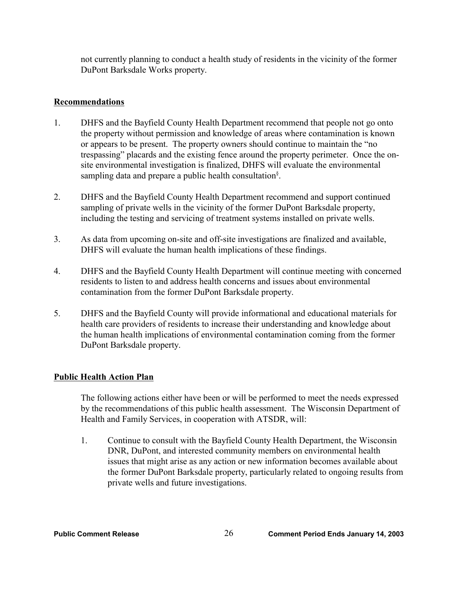not currently planning to conduct a health study of residents in the vicinity of the former DuPont Barksdale Works property.

# **Recommendations**

- 1. DHFS and the Bayfield County Health Department recommend that people not go onto the property without permission and knowledge of areas where contamination is known or appears to be present. The property owners should continue to maintain the "no trespassing" placards and the existing fence around the property perimeter. Once the onsite environmental investigation is finalized, DHFS will evaluate the environmental sampling data and prepare a public health consultation<sup>§</sup>.
- 2. DHFS and the Bayfield County Health Department recommend and support continued sampling of private wells in the vicinity of the former DuPont Barksdale property, including the testing and servicing of treatment systems installed on private wells.
- 3. As data from upcoming on-site and off-site investigations are finalized and available, DHFS will evaluate the human health implications of these findings.
- 4. DHFS and the Bayfield County Health Department will continue meeting with concerned residents to listen to and address health concerns and issues about environmental contamination from the former DuPont Barksdale property.
- 5. DHFS and the Bayfield County will provide informational and educational materials for health care providers of residents to increase their understanding and knowledge about the human health implications of environmental contamination coming from the former DuPont Barksdale property.

# **Public Health Action Plan**

The following actions either have been or will be performed to meet the needs expressed by the recommendations of this public health assessment. The Wisconsin Department of Health and Family Services, in cooperation with ATSDR, will:

1. Continue to consult with the Bayfield County Health Department, the Wisconsin DNR, DuPont, and interested community members on environmental health issues that might arise as any action or new information becomes available about the former DuPont Barksdale property, particularly related to ongoing results from private wells and future investigations.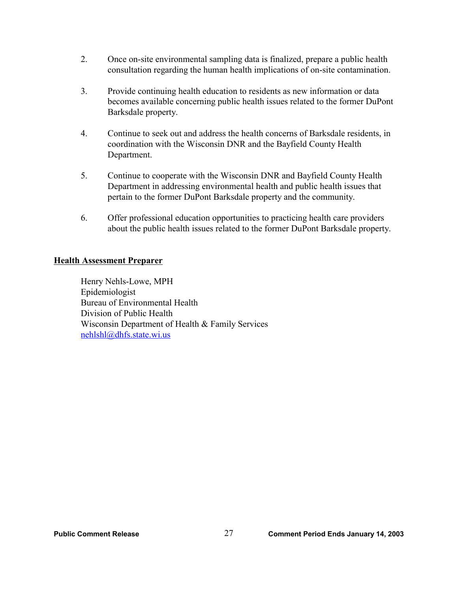- 2. Once on-site environmental sampling data is finalized, prepare a public health consultation regarding the human health implications of on-site contamination.
- 3. Provide continuing health education to residents as new information or data becomes available concerning public health issues related to the former DuPont Barksdale property.
- 4. Continue to seek out and address the health concerns of Barksdale residents, in coordination with the Wisconsin DNR and the Bayfield County Health Department.
- 5. Continue to cooperate with the Wisconsin DNR and Bayfield County Health Department in addressing environmental health and public health issues that pertain to the former DuPont Barksdale property and the community.
- 6. Offer professional education opportunities to practicing health care providers about the public health issues related to the former DuPont Barksdale property.

# **Health Assessment Preparer**

Henry Nehls-Lowe, MPH Epidemiologist Bureau of Environmental Health Division of Public Health Wisconsin Department of Health & Family Services nehlshl@dhfs.state.wi.us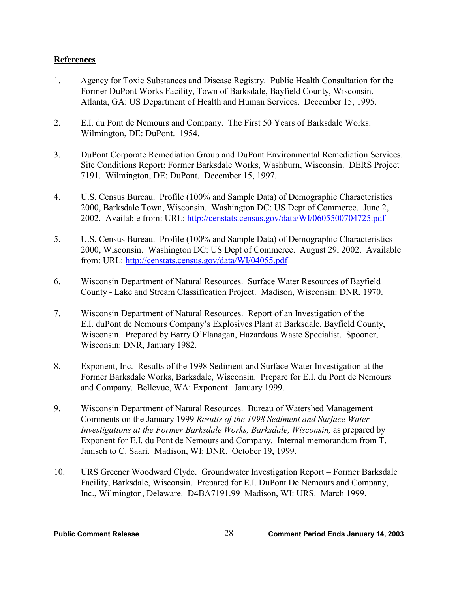# **References**

- 1. Agency for Toxic Substances and Disease Registry. Public Health Consultation for the Former DuPont Works Facility, Town of Barksdale, Bayfield County, Wisconsin. Atlanta, GA: US Department of Health and Human Services. December 15, 1995.
- 2. E.I. du Pont de Nemours and Company. The First 50 Years of Barksdale Works. Wilmington, DE: DuPont. 1954.
- 3. DuPont Corporate Remediation Group and DuPont Environmental Remediation Services. Site Conditions Report: Former Barksdale Works, Washburn, Wisconsin. DERS Project 7191. Wilmington, DE: DuPont. December 15, 1997.
- 4. U.S. Census Bureau. Profile (100% and Sample Data) of Demographic Characteristics 2000, Barksdale Town, Wisconsin. Washington DC: US Dept of Commerce. June 2, 2002. Available from: URL: http://censtats.census.gov/data/WI/0605500704725.pdf
- 5. U.S. Census Bureau. Profile (100% and Sample Data) of Demographic Characteristics 2000, Wisconsin. Washington DC: US Dept of Commerce. August 29, 2002. Available from: URL: http://censtats.census.gov/data/WI/04055.pdf
- 6. Wisconsin Department of Natural Resources. Surface Water Resources of Bayfield County - Lake and Stream Classification Project. Madison, Wisconsin: DNR. 1970.
- 7. Wisconsin Department of Natural Resources. Report of an Investigation of the E.I. duPont de Nemours Company's Explosives Plant at Barksdale, Bayfield County, Wisconsin. Prepared by Barry O'Flanagan, Hazardous Waste Specialist. Spooner, Wisconsin: DNR, January 1982.
- 8. Exponent, Inc. Results of the 1998 Sediment and Surface Water Investigation at the Former Barksdale Works, Barksdale, Wisconsin. Prepare for E.I. du Pont de Nemours and Company. Bellevue, WA: Exponent. January 1999.
- 9. Wisconsin Department of Natural Resources. Bureau of Watershed Management Comments on the January 1999 *Results of the 1998 Sediment and Surface Water Investigations at the Former Barksdale Works, Barksdale, Wisconsin,* as prepared by Exponent for E.I. du Pont de Nemours and Company. Internal memorandum from T. Janisch to C. Saari. Madison, WI: DNR. October 19, 1999.
- 10. URS Greener Woodward Clyde. Groundwater Investigation Report Former Barksdale Facility, Barksdale, Wisconsin. Prepared for E.I. DuPont De Nemours and Company, Inc., Wilmington, Delaware. D4BA7191.99 Madison, WI: URS. March 1999.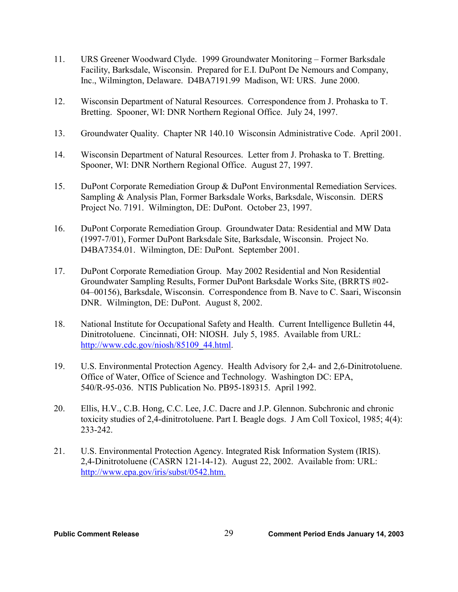- 11. URS Greener Woodward Clyde. 1999 Groundwater Monitoring Former Barksdale Facility, Barksdale, Wisconsin. Prepared for E.I. DuPont De Nemours and Company, Inc., Wilmington, Delaware. D4BA7191.99 Madison, WI: URS. June 2000.
- 12. Wisconsin Department of Natural Resources. Correspondence from J. Prohaska to T. Bretting. Spooner, WI: DNR Northern Regional Office. July 24, 1997.
- 13. Groundwater Quality. Chapter NR 140.10 Wisconsin Administrative Code. April 2001.
- 14. Wisconsin Department of Natural Resources. Letter from J. Prohaska to T. Bretting. Spooner, WI: DNR Northern Regional Office. August 27, 1997.
- 15. DuPont Corporate Remediation Group & DuPont Environmental Remediation Services. Sampling & Analysis Plan, Former Barksdale Works, Barksdale, Wisconsin. DERS Project No. 7191. Wilmington, DE: DuPont. October 23, 1997.
- 16. DuPont Corporate Remediation Group. Groundwater Data: Residential and MW Data (1997-7/01), Former DuPont Barksdale Site, Barksdale, Wisconsin. Project No. D4BA7354.01. Wilmington, DE: DuPont. September 2001.
- 17. DuPont Corporate Remediation Group. May 2002 Residential and Non Residential Groundwater Sampling Results, Former DuPont Barksdale Works Site, (BRRTS #02- 04–00156), Barksdale, Wisconsin. Correspondence from B. Nave to C. Saari, Wisconsin DNR. Wilmington, DE: DuPont. August 8, 2002.
- 18. National Institute for Occupational Safety and Health. Current Intelligence Bulletin 44, Dinitrotoluene. Cincinnati, OH: NIOSH. July 5, 1985. Available from URL: http://www.cdc.gov/niosh/85109\_44.html.
- 19. U.S. Environmental Protection Agency. Health Advisory for 2,4- and 2,6-Dinitrotoluene. Office of Water, Office of Science and Technology. Washington DC: EPA, 540/R-95-036. NTIS Publication No. PB95-189315. April 1992.
- 20. Ellis, H.V., C.B. Hong, C.C. Lee, J.C. Dacre and J.P. Glennon. Subchronic and chronic toxicity studies of 2,4-dinitrotoluene. Part I. Beagle dogs. J Am Coll Toxicol, 1985; 4(4): 233-242.
- 21. U.S. Environmental Protection Agency. Integrated Risk Information System (IRIS). 2,4-Dinitrotoluene (CASRN 121-14-12). August 22, 2002. Available from: URL: http://www.epa.gov/iris/subst/0542.htm.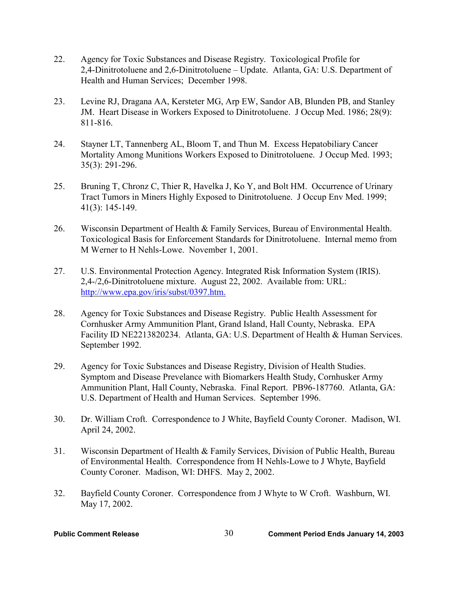- 22. Agency for Toxic Substances and Disease Registry. Toxicological Profile for 2,4-Dinitrotoluene and 2,6-Dinitrotoluene – Update. Atlanta, GA: U.S. Department of Health and Human Services; December 1998.
- 23. Levine RJ, Dragana AA, Kersteter MG, Arp EW, Sandor AB, Blunden PB, and Stanley JM. Heart Disease in Workers Exposed to Dinitrotoluene. J Occup Med. 1986; 28(9): 811-816.
- 24. Stayner LT, Tannenberg AL, Bloom T, and Thun M. Excess Hepatobiliary Cancer Mortality Among Munitions Workers Exposed to Dinitrotoluene. J Occup Med. 1993; 35(3): 291-296.
- 25. Bruning T, Chronz C, Thier R, Havelka J, Ko Y, and Bolt HM. Occurrence of Urinary Tract Tumors in Miners Highly Exposed to Dinitrotoluene. J Occup Env Med. 1999; 41(3): 145-149.
- 26. Wisconsin Department of Health & Family Services, Bureau of Environmental Health. Toxicological Basis for Enforcement Standards for Dinitrotoluene. Internal memo from M Werner to H Nehls-Lowe. November 1, 2001.
- 27. U.S. Environmental Protection Agency. Integrated Risk Information System (IRIS). 2,4-/2,6-Dinitrotoluene mixture. August 22, 2002. Available from: URL: http://www.epa.gov/iris/subst/0397.htm.
- 28. Agency for Toxic Substances and Disease Registry. Public Health Assessment for Cornhusker Army Ammunition Plant, Grand Island, Hall County, Nebraska. EPA Facility ID NE2213820234. Atlanta, GA: U.S. Department of Health & Human Services. September 1992.
- 29. Agency for Toxic Substances and Disease Registry, Division of Health Studies. Symptom and Disease Prevelance with Biomarkers Health Study, Cornhusker Army Ammunition Plant, Hall County, Nebraska. Final Report. PB96-187760. Atlanta, GA: U.S. Department of Health and Human Services. September 1996.
- 30. Dr. William Croft. Correspondence to J White, Bayfield County Coroner. Madison, WI. April 24, 2002.
- 31. Wisconsin Department of Health & Family Services, Division of Public Health, Bureau of Environmental Health. Correspondence from H Nehls-Lowe to J Whyte, Bayfield County Coroner. Madison, WI: DHFS. May 2, 2002.
- 32. Bayfield County Coroner. Correspondence from J Whyte to W Croft. Washburn, WI. May 17, 2002.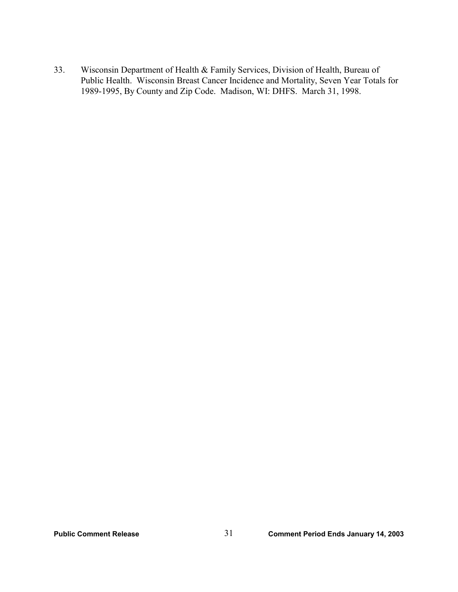33. Wisconsin Department of Health & Family Services, Division of Health, Bureau of Public Health. Wisconsin Breast Cancer Incidence and Mortality, Seven Year Totals for 1989-1995, By County and Zip Code. Madison, WI: DHFS. March 31, 1998.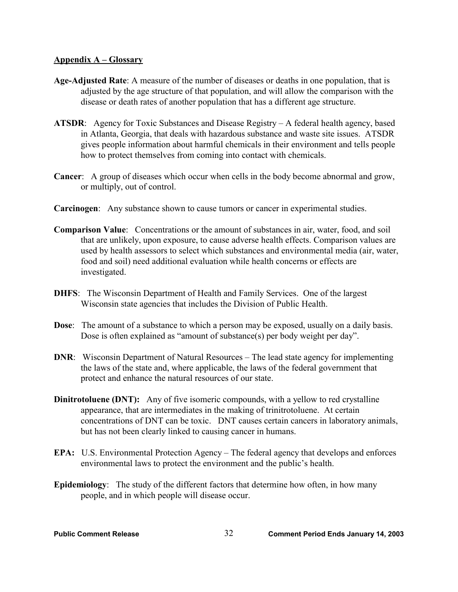#### **Appendix A – Glossary**

- **Age-Adjusted Rate**: A measure of the number of diseases or deaths in one population, that is adjusted by the age structure of that population, and will allow the comparison with the disease or death rates of another population that has a different age structure.
- **ATSDR**: Agency for Toxic Substances and Disease Registry A federal health agency, based in Atlanta, Georgia, that deals with hazardous substance and waste site issues. ATSDR gives people information about harmful chemicals in their environment and tells people how to protect themselves from coming into contact with chemicals.
- **Cancer**: A group of diseases which occur when cells in the body become abnormal and grow, or multiply, out of control.
- **Carcinogen**: Any substance shown to cause tumors or cancer in experimental studies.
- **Comparison Value**: Concentrations or the amount of substances in air, water, food, and soil that are unlikely, upon exposure, to cause adverse health effects. Comparison values are used by health assessors to select which substances and environmental media (air, water, food and soil) need additional evaluation while health concerns or effects are investigated.
- **DHFS**: The Wisconsin Department of Health and Family Services. One of the largest Wisconsin state agencies that includes the Division of Public Health.
- **Dose:** The amount of a substance to which a person may be exposed, usually on a daily basis. Dose is often explained as "amount of substance(s) per body weight per day".
- **DNR**: Wisconsin Department of Natural Resources The lead state agency for implementing the laws of the state and, where applicable, the laws of the federal government that protect and enhance the natural resources of our state.
- **Dinitrotoluene (DNT):** Any of five isomeric compounds, with a yellow to red crystalline appearance, that are intermediates in the making of trinitrotoluene. At certain concentrations of DNT can be toxic. DNT causes certain cancers in laboratory animals, but has not been clearly linked to causing cancer in humans.
- **EPA:** U.S. Environmental Protection Agency The federal agency that develops and enforces environmental laws to protect the environment and the public's health.
- **Epidemiology**: The study of the different factors that determine how often, in how many people, and in which people will disease occur.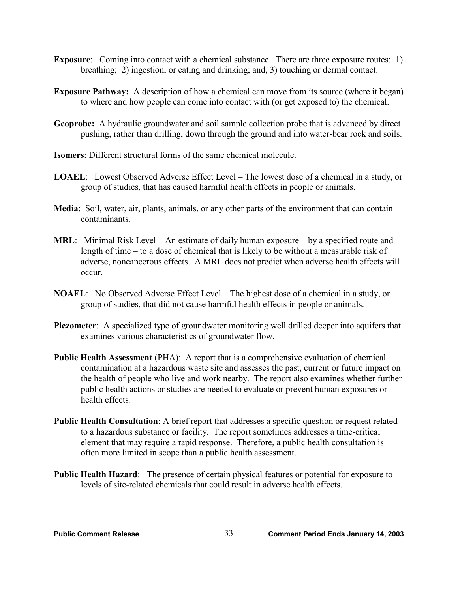- **Exposure:** Coming into contact with a chemical substance. There are three exposure routes: 1) breathing; 2) ingestion, or eating and drinking; and, 3) touching or dermal contact.
- **Exposure Pathway:** A description of how a chemical can move from its source (where it began) to where and how people can come into contact with (or get exposed to) the chemical.
- **Geoprobe:** A hydraulic groundwater and soil sample collection probe that is advanced by direct pushing, rather than drilling, down through the ground and into water-bear rock and soils.
- **Isomers**: Different structural forms of the same chemical molecule.
- **LOAEL**: Lowest Observed Adverse Effect Level The lowest dose of a chemical in a study, or group of studies, that has caused harmful health effects in people or animals.
- **Media**: Soil, water, air, plants, animals, or any other parts of the environment that can contain contaminants.
- **MRL**: Minimal Risk Level An estimate of daily human exposure by a specified route and length of time – to a dose of chemical that is likely to be without a measurable risk of adverse, noncancerous effects. A MRL does not predict when adverse health effects will occur.
- **NOAEL**: No Observed Adverse Effect Level The highest dose of a chemical in a study, or group of studies, that did not cause harmful health effects in people or animals.
- **Piezometer**: A specialized type of groundwater monitoring well drilled deeper into aquifers that examines various characteristics of groundwater flow.
- **Public Health Assessment** (PHA): A report that is a comprehensive evaluation of chemical contamination at a hazardous waste site and assesses the past, current or future impact on the health of people who live and work nearby. The report also examines whether further public health actions or studies are needed to evaluate or prevent human exposures or health effects.
- **Public Health Consultation**: A brief report that addresses a specific question or request related to a hazardous substance or facility. The report sometimes addresses a time-critical element that may require a rapid response. Therefore, a public health consultation is often more limited in scope than a public health assessment.
- **Public Health Hazard**: The presence of certain physical features or potential for exposure to levels of site-related chemicals that could result in adverse health effects.